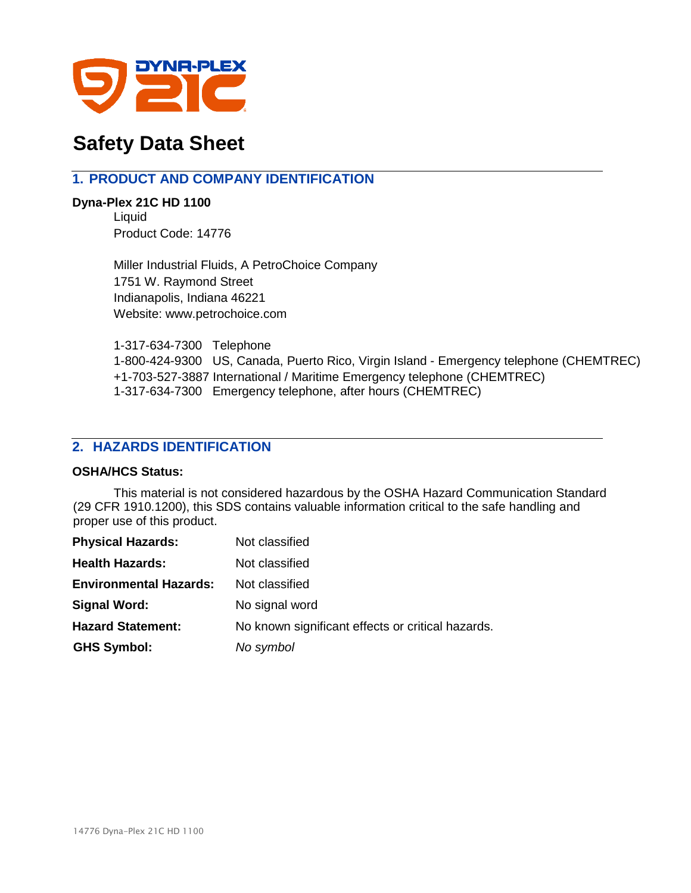

# **Safety Data Sheet**

# **1. PRODUCT AND COMPANY IDENTIFICATION**

**Dyna-Plex 21C HD 1100** Liquid Product Code: 14776

> Miller Industrial Fluids, A PetroChoice Company 1751 W. Raymond Street Indianapolis, Indiana 46221 Website: www.petrochoice.com

1-317-634-7300 Telephone 1-800-424-9300 US, Canada, Puerto Rico, Virgin Island - Emergency telephone (CHEMTREC) +1-703-527-3887 International / Maritime Emergency telephone (CHEMTREC) 1-317-634-7300 Emergency telephone, after hours (CHEMTREC)

# **2. HAZARDS IDENTIFICATION**

## **OSHA/HCS Status:**

This material is not considered hazardous by the OSHA Hazard Communication Standard (29 CFR 1910.1200), this SDS contains valuable information critical to the safe handling and proper use of this product.

| <b>Physical Hazards:</b>      | Not classified                                    |
|-------------------------------|---------------------------------------------------|
| <b>Health Hazards:</b>        | Not classified                                    |
| <b>Environmental Hazards:</b> | Not classified                                    |
| <b>Signal Word:</b>           | No signal word                                    |
| <b>Hazard Statement:</b>      | No known significant effects or critical hazards. |
| <b>GHS Symbol:</b>            | No symbol                                         |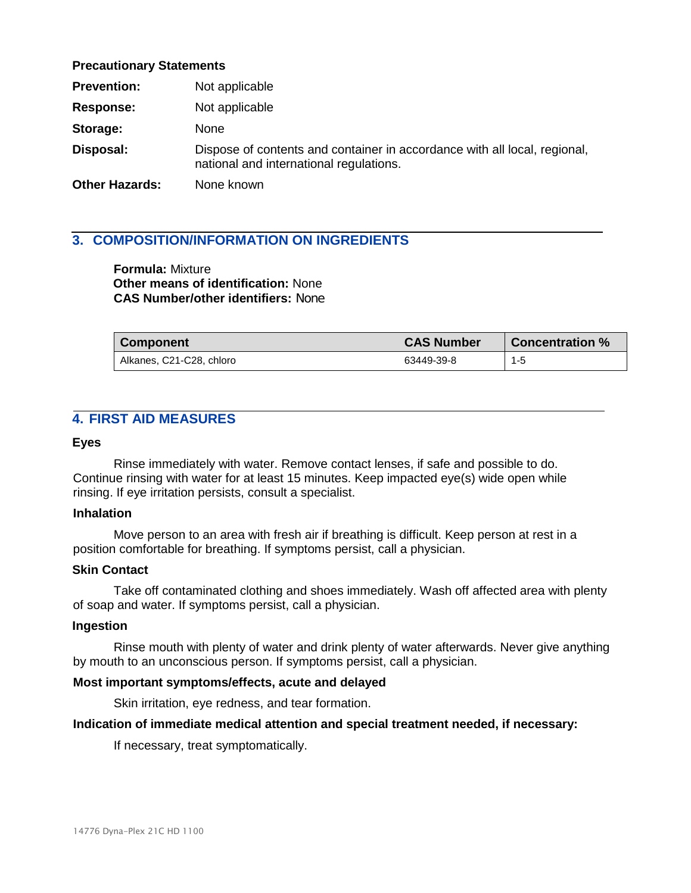#### **Precautionary Statements**

| <b>Prevention:</b>    | Not applicable                                                                                                       |
|-----------------------|----------------------------------------------------------------------------------------------------------------------|
| <b>Response:</b>      | Not applicable                                                                                                       |
| Storage:              | <b>None</b>                                                                                                          |
| Disposal:             | Dispose of contents and container in accordance with all local, regional,<br>national and international regulations. |
| <b>Other Hazards:</b> | None known                                                                                                           |

# **3. COMPOSITION/INFORMATION ON INGREDIENTS**

**Formula:** Mixture **Other means of identification:** None **CAS Number/other identifiers:** None

| <b>Component</b>         | <b>CAS Number</b> | <b>Concentration %</b> |
|--------------------------|-------------------|------------------------|
| Alkanes, C21-C28, chloro | 63449-39-8        | $1 - 5$                |

# **4. FIRST AID MEASURES**

#### **Eyes**

Rinse immediately with water. Remove contact lenses, if safe and possible to do. Continue rinsing with water for at least 15 minutes. Keep impacted eye(s) wide open while rinsing. If eye irritation persists, consult a specialist.

#### **Inhalation**

Move person to an area with fresh air if breathing is difficult. Keep person at rest in a position comfortable for breathing. If symptoms persist, call a physician.

## **Skin Contact**

Take off contaminated clothing and shoes immediately. Wash off affected area with plenty of soap and water. If symptoms persist, call a physician.

#### **Ingestion**

Rinse mouth with plenty of water and drink plenty of water afterwards. Never give anything by mouth to an unconscious person. If symptoms persist, call a physician.

## **Most important symptoms/effects, acute and delayed**

Skin irritation, eye redness, and tear formation.

#### **Indication of immediate medical attention and special treatment needed, if necessary:**

If necessary, treat symptomatically.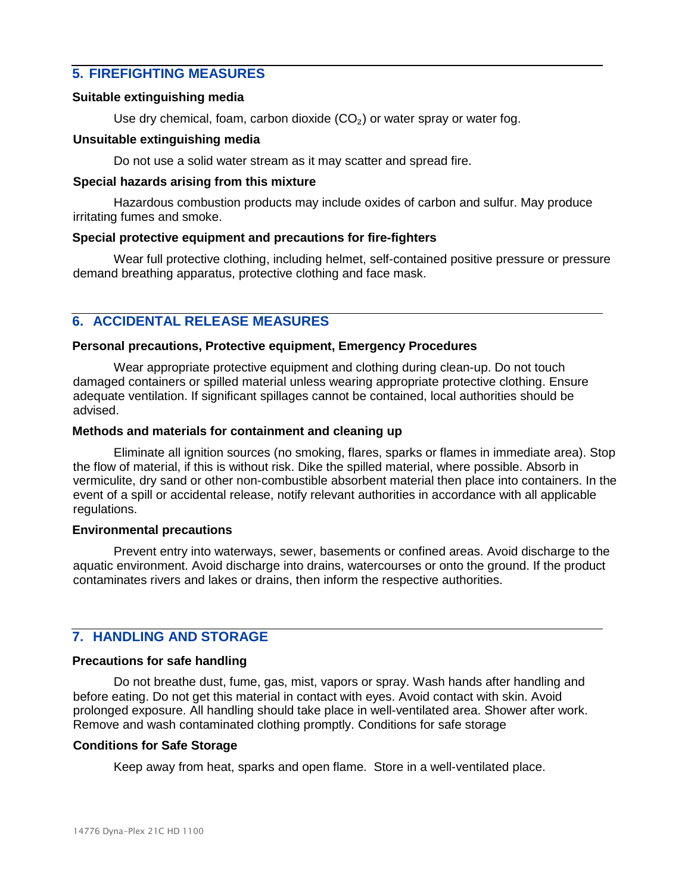# **5. FIREFIGHTING MEASURES**

#### **Suitable extinguishing media**

Use dry chemical, foam, carbon dioxide  $(CO<sub>2</sub>)$  or water spray or water fog.

#### **Unsuitable extinguishing media**

Do not use a solid water stream as it may scatter and spread fire.

#### **Special hazards arising from this mixture**

Hazardous combustion products may include oxides of carbon and sulfur. May produce irritating fumes and smoke.

#### **Special protective equipment and precautions for fire-fighters**

Wear full protective clothing, including helmet, self-contained positive pressure or pressure demand breathing apparatus, protective clothing and face mask.

# **6. ACCIDENTAL RELEASE MEASURES**

#### **Personal precautions, Protective equipment, Emergency Procedures**

Wear appropriate protective equipment and clothing during clean-up. Do not touch damaged containers or spilled material unless wearing appropriate protective clothing. Ensure adequate ventilation. If significant spillages cannot be contained, local authorities should be advised.

#### **Methods and materials for containment and cleaning up**

Eliminate all ignition sources (no smoking, flares, sparks or flames in immediate area). Stop the flow of material, if this is without risk. Dike the spilled material, where possible. Absorb in vermiculite, dry sand or other non-combustible absorbent material then place into containers. In the event of a spill or accidental release, notify relevant authorities in accordance with all applicable regulations.

#### **Environmental precautions**

Prevent entry into waterways, sewer, basements or confined areas. Avoid discharge to the aquatic environment. Avoid discharge into drains, watercourses or onto the ground. If the product contaminates rivers and lakes or drains, then inform the respective authorities.

# **7. HANDLING AND STORAGE**

## **Precautions for safe handling**

Do not breathe dust, fume, gas, mist, vapors or spray. Wash hands after handling and before eating. Do not get this material in contact with eyes. Avoid contact with skin. Avoid prolonged exposure. All handling should take place in well-ventilated area. Shower after work. Remove and wash contaminated clothing promptly. Conditions for safe storage

## **Conditions for Safe Storage**

Keep away from heat, sparks and open flame. Store in a well-ventilated place.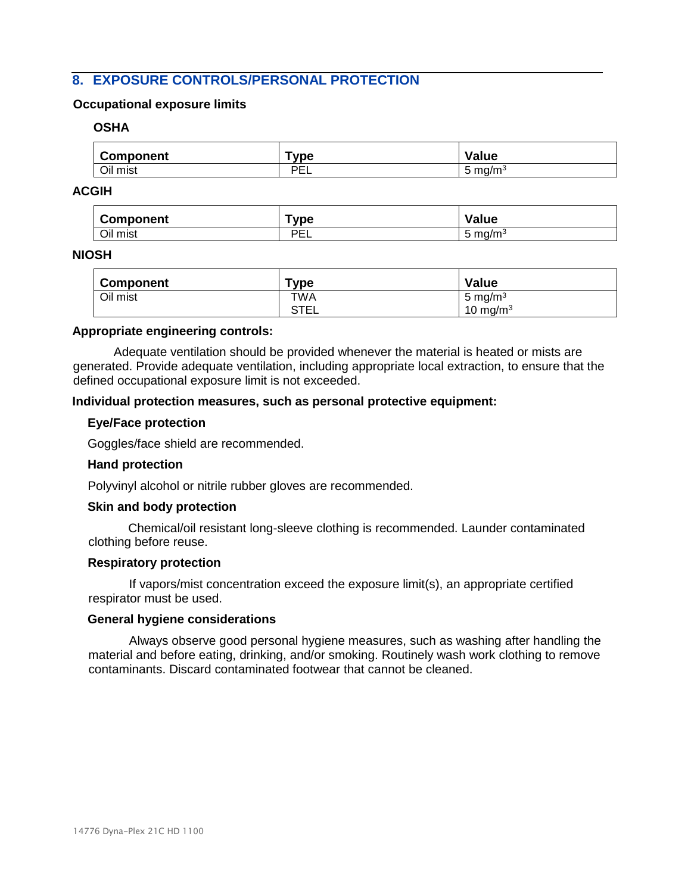# **8. EXPOSURE CONTROLS/PERSONAL PROTECTION**

#### **Occupational exposure limits**

#### **OSHA**

| Component | vpe       | Value                  |
|-----------|-----------|------------------------|
| Oil mist  | DE.<br>-- | mq/m <sup>3</sup><br>ີ |

#### **ACGIH**

| <b>Component</b> | vpe       | Value                                 |
|------------------|-----------|---------------------------------------|
| Oil mist         | DEI<br>-- | $\sim$<br>ma/m <sup>3</sup><br>∽<br>ັ |

## **NIOSH**

| <b>Component</b> | $\mathsf{Type}$ | Value       |
|------------------|-----------------|-------------|
| Oil mist         | TWA             | 5 mg/m $3$  |
|                  | STEL            | 10 mg/m $3$ |

#### **Appropriate engineering controls:**

Adequate ventilation should be provided whenever the material is heated or mists are generated. Provide adequate ventilation, including appropriate local extraction, to ensure that the defined occupational exposure limit is not exceeded.

#### **Individual protection measures, such as personal protective equipment:**

#### **Eye/Face protection**

Goggles/face shield are recommended.

#### **Hand protection**

Polyvinyl alcohol or nitrile rubber gloves are recommended.

#### **Skin and body protection**

Chemical/oil resistant long-sleeve clothing is recommended. Launder contaminated clothing before reuse.

#### **Respiratory protection**

If vapors/mist concentration exceed the exposure limit(s), an appropriate certified respirator must be used.

#### **General hygiene considerations**

Always observe good personal hygiene measures, such as washing after handling the material and before eating, drinking, and/or smoking. Routinely wash work clothing to remove contaminants. Discard contaminated footwear that cannot be cleaned.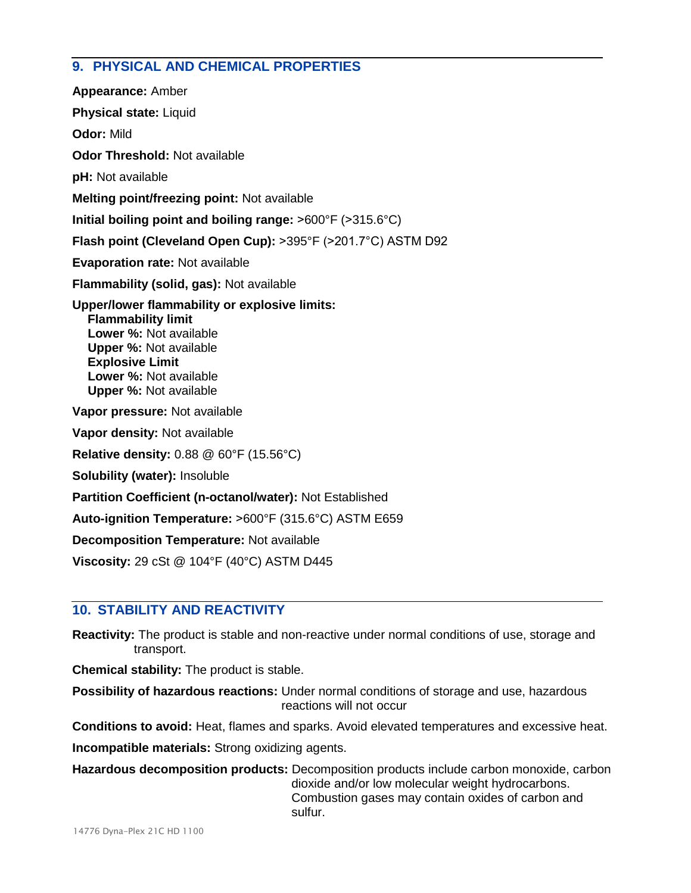# **9. PHYSICAL AND CHEMICAL PROPERTIES**

**Appearance:** Amber **Physical state:** Liquid **Odor:** Mild **Odor Threshold:** Not available **pH:** Not available **Melting point/freezing point:** Not available **Initial boiling point and boiling range:** ˃600°F (˃315.6°C) **Flash point (Cleveland Open Cup): >395°F (>201.7°C) ASTM D92 Evaporation rate:** Not available **Flammability (solid, gas):** Not available **Upper/lower flammability or explosive limits: Flammability limit Lower %:** Not available **Upper %:** Not available **Explosive Limit Lower %:** Not available **Upper %:** Not available **Vapor pressure:** Not available **Vapor density:** Not available **Relative density:** 0.88 @ 60°F (15.56°C) **Solubility (water):** Insoluble **Partition Coefficient (n-octanol/water):** Not Established **Auto-ignition Temperature:** ˃600°F (315.6°C) ASTM E659 **Decomposition Temperature:** Not available **Viscosity:** 29 cSt @ 104°F (40°C) ASTM D445

# **10. STABILITY AND REACTIVITY**

**Reactivity:** The product is stable and non-reactive under normal conditions of use, storage and transport.

**Chemical stability:** The product is stable.

**Possibility of hazardous reactions:** Under normal conditions of storage and use, hazardous reactions will not occur

**Conditions to avoid:** Heat, flames and sparks. Avoid elevated temperatures and excessive heat.

**Incompatible materials:** Strong oxidizing agents.

**Hazardous decomposition products:** Decomposition products include carbon monoxide, carbon dioxide and/or low molecular weight hydrocarbons. Combustion gases may contain oxides of carbon and sulfur.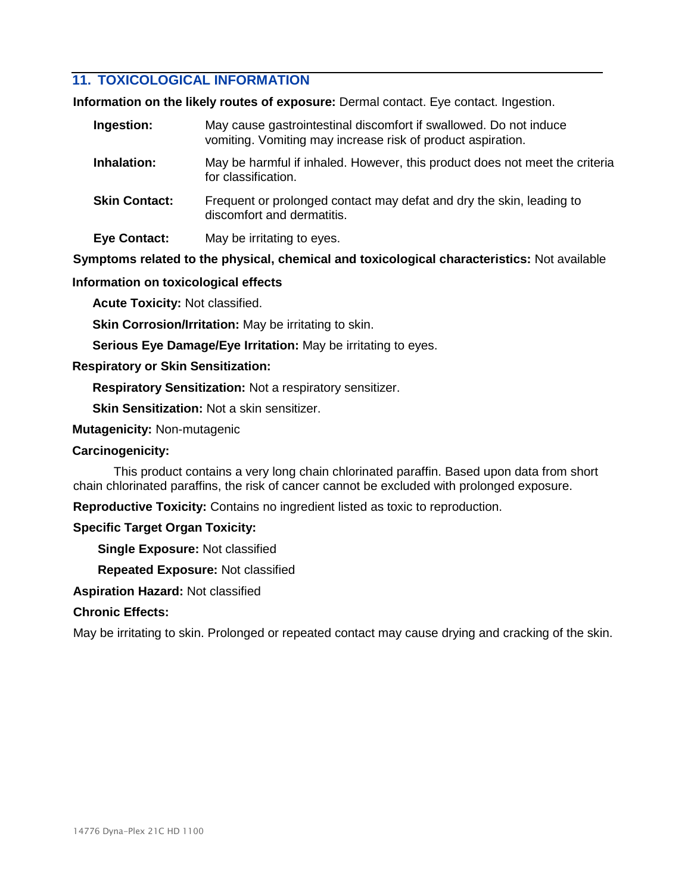# **11. TOXICOLOGICAL INFORMATION**

**Information on the likely routes of exposure:** Dermal contact. Eye contact. Ingestion.

| Ingestion:           | May cause gastrointestinal discomfort if swallowed. Do not induce<br>vomiting. Vomiting may increase risk of product aspiration. |
|----------------------|----------------------------------------------------------------------------------------------------------------------------------|
| Inhalation:          | May be harmful if inhaled. However, this product does not meet the criteria<br>for classification.                               |
| <b>Skin Contact:</b> | Frequent or prolonged contact may defat and dry the skin, leading to<br>discomfort and dermatitis.                               |
| <b>Eye Contact:</b>  | May be irritating to eyes.                                                                                                       |

**Symptoms related to the physical, chemical and toxicological characteristics:** Not available

## **Information on toxicological effects**

**Acute Toxicity:** Not classified.

**Skin Corrosion/Irritation:** May be irritating to skin.

**Serious Eye Damage/Eye Irritation:** May be irritating to eyes.

## **Respiratory or Skin Sensitization:**

**Respiratory Sensitization:** Not a respiratory sensitizer.

**Skin Sensitization:** Not a skin sensitizer.

**Mutagenicity:** Non-mutagenic

## **Carcinogenicity:**

This product contains a very long chain chlorinated paraffin. Based upon data from short chain chlorinated paraffins, the risk of cancer cannot be excluded with prolonged exposure.

**Reproductive Toxicity:** Contains no ingredient listed as toxic to reproduction.

## **Specific Target Organ Toxicity:**

**Single Exposure:** Not classified

**Repeated Exposure:** Not classified

**Aspiration Hazard:** Not classified

# **Chronic Effects:**

May be irritating to skin. Prolonged or repeated contact may cause drying and cracking of the skin.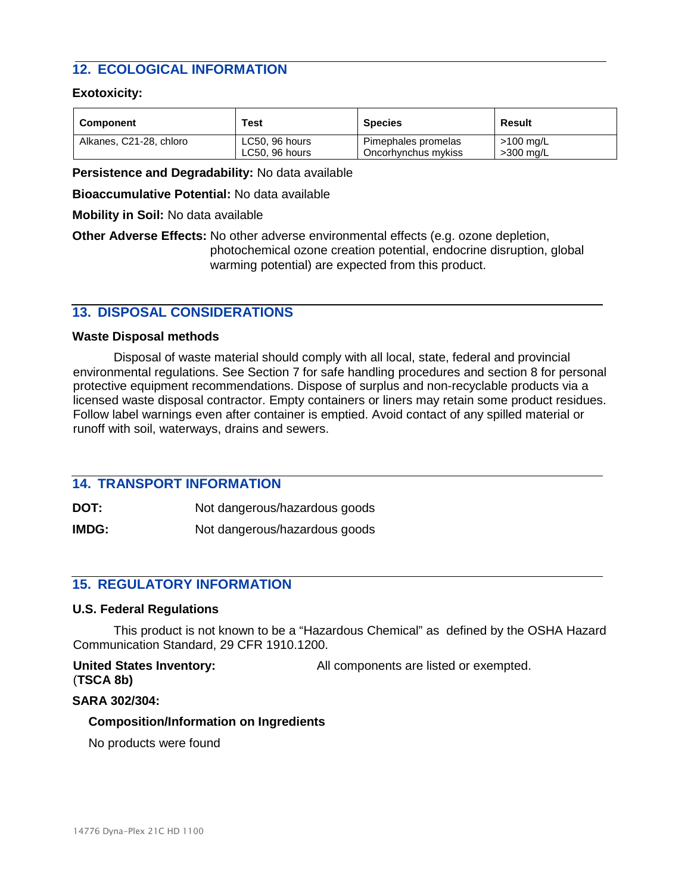# **12. ECOLOGICAL INFORMATION**

## **Exotoxicity:**

| <b>Component</b>        | Test           | <b>Species</b>      | Result      |
|-------------------------|----------------|---------------------|-------------|
| Alkanes, C21-28, chloro | LC50, 96 hours | Pimephales promelas | >100 mg/L   |
|                         | LC50, 96 hours | Oncorhynchus mykiss | $>300$ mg/L |

**Persistence and Degradability:** No data available

**Bioaccumulative Potential:** No data available

**Mobility in Soil:** No data available

**Other Adverse Effects:** No other adverse environmental effects (e.g. ozone depletion, photochemical ozone creation potential, endocrine disruption, global warming potential) are expected from this product.

# **13. DISPOSAL CONSIDERATIONS**

#### **Waste Disposal methods**

Disposal of waste material should comply with all local, state, federal and provincial environmental regulations. See Section 7 for safe handling procedures and section 8 for personal protective equipment recommendations. Dispose of surplus and non-recyclable products via a licensed waste disposal contractor. Empty containers or liners may retain some product residues. Follow label warnings even after container is emptied. Avoid contact of any spilled material or runoff with soil, waterways, drains and sewers.

# **14. TRANSPORT INFORMATION**

**DOT:** Not dangerous/hazardous goods

**IMDG:** Not dangerous/hazardous goods

# **15. REGULATORY INFORMATION**

#### **U.S. Federal Regulations**

This product is not known to be a "Hazardous Chemical" as defined by the OSHA Hazard Communication Standard, 29 CFR 1910.1200.

**United States Inventory:** All components are listed or exempted. (**TSCA 8b)**

#### **SARA 302/304:**

#### **Composition/Information on Ingredients**

No products were found